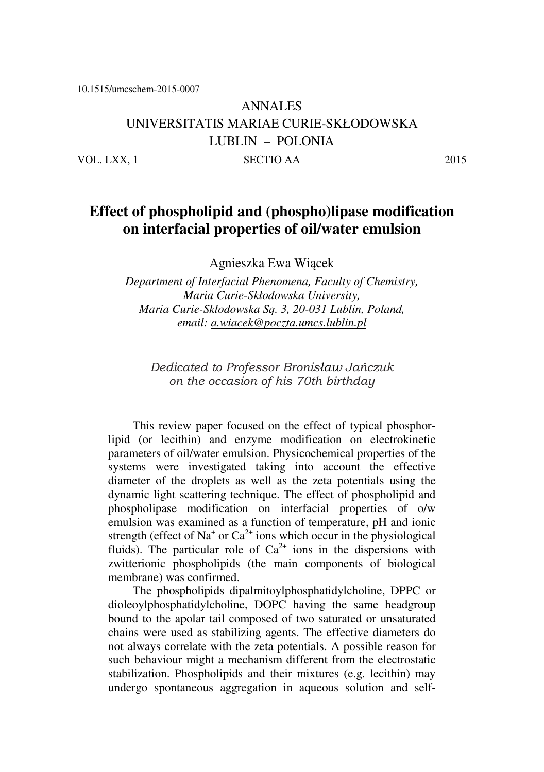# ANNALES UNIVERSITATIS MARIAE CURIE-SKŁODOWSKA LUBLIN – POLONIA VOL. LXX, 1 SECTIO AA 2015

# **Effect of phospholipid and (phospho)lipase modification on interfacial properties of oil/water emulsion**

Agnieszka Ewa Wiącek

*Department of Interfacial Phenomena, Faculty of Chemistry, Maria Curie-Skłodowska University, Maria Curie-Skłodowska Sq. 3, 20-031 Lublin, Poland, email: a.wiacek@poczta.umcs.lublin.pl* 

*Dedicated to Professor Bronisław Jańczuk on the occasion of his 70th birthday*

This review paper focused on the effect of typical phosphorlipid (or lecithin) and enzyme modification on electrokinetic parameters of oil/water emulsion. Physicochemical properties of the systems were investigated taking into account the effective diameter of the droplets as well as the zeta potentials using the dynamic light scattering technique. The effect of phospholipid and phospholipase modification on interfacial properties of o/w emulsion was examined as a function of temperature, pH and ionic strength (effect of Na<sup>+</sup> or Ca<sup>2+</sup> ions which occur in the physiological fluids). The particular role of  $Ca^{2+}$  ions in the dispersions with zwitterionic phospholipids (the main components of biological membrane) was confirmed.

The phospholipids dipalmitoylphosphatidylcholine, DPPC or dioleoylphosphatidylcholine, DOPC having the same headgroup bound to the apolar tail composed of two saturated or unsaturated chains were used as stabilizing agents. The effective diameters do not always correlate with the zeta potentials. A possible reason for such behaviour might a mechanism different from the electrostatic stabilization. Phospholipids and their mixtures (e.g. lecithin) may undergo spontaneous aggregation in aqueous solution and self-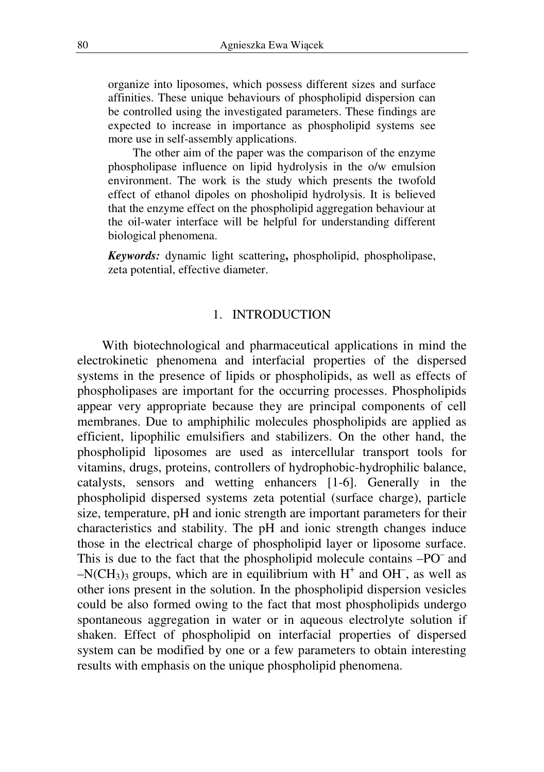organize into liposomes, which possess different sizes and surface affinities. These unique behaviours of phospholipid dispersion can be controlled using the investigated parameters. These findings are expected to increase in importance as phospholipid systems see more use in self-assembly applications.

The other aim of the paper was the comparison of the enzyme phospholipase influence on lipid hydrolysis in the o/w emulsion environment. The work is the study which presents the twofold effect of ethanol dipoles on phosholipid hydrolysis. It is believed that the enzyme effect on the phospholipid aggregation behaviour at the oil-water interface will be helpful for understanding different biological phenomena.

*Keywords:* dynamic light scattering**,** phospholipid, phospholipase, zeta potential, effective diameter.

### 1. INTRODUCTION

With biotechnological and pharmaceutical applications in mind the electrokinetic phenomena and interfacial properties of the dispersed systems in the presence of lipids or phospholipids, as well as effects of phospholipases are important for the occurring processes. Phospholipids appear very appropriate because they are principal components of cell membranes. Due to amphiphilic molecules phospholipids are applied as efficient, lipophilic emulsifiers and stabilizers. On the other hand, the phospholipid liposomes are used as intercellular transport tools for vitamins, drugs, proteins, controllers of hydrophobic-hydrophilic balance, catalysts, sensors and wetting enhancers [1-6]. Generally in the phospholipid dispersed systems zeta potential (surface charge), particle size, temperature, pH and ionic strength are important parameters for their characteristics and stability. The pH and ionic strength changes induce those in the electrical charge of phospholipid layer or liposome surface. This is due to the fact that the phospholipid molecule contains –PO– and  $-N(CH<sub>3</sub>)<sub>3</sub>$  groups, which are in equilibrium with H<sup>+</sup> and OH<sup>-</sup>, as well as other ions present in the solution. In the phospholipid dispersion vesicles could be also formed owing to the fact that most phospholipids undergo spontaneous aggregation in water or in aqueous electrolyte solution if shaken. Effect of phospholipid on interfacial properties of dispersed system can be modified by one or a few parameters to obtain interesting results with emphasis on the unique phospholipid phenomena.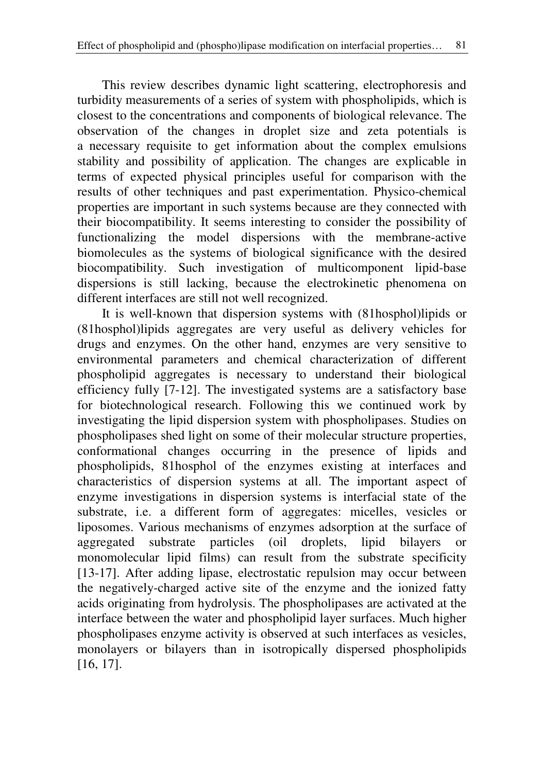This review describes dynamic light scattering, electrophoresis and turbidity measurements of a series of system with phospholipids, which is closest to the concentrations and components of biological relevance. The observation of the changes in droplet size and zeta potentials is a necessary requisite to get information about the complex emulsions stability and possibility of application. The changes are explicable in terms of expected physical principles useful for comparison with the results of other techniques and past experimentation. Physico-chemical properties are important in such systems because are they connected with their biocompatibility. It seems interesting to consider the possibility of functionalizing the model dispersions with the membrane-active biomolecules as the systems of biological significance with the desired biocompatibility. Such investigation of multicomponent lipid-base dispersions is still lacking, because the electrokinetic phenomena on different interfaces are still not well recognized.

It is well-known that dispersion systems with (81hosphol)lipids or (81hosphol)lipids aggregates are very useful as delivery vehicles for drugs and enzymes. On the other hand, enzymes are very sensitive to environmental parameters and chemical characterization of different phospholipid aggregates is necessary to understand their biological efficiency fully [7-12]. The investigated systems are a satisfactory base for biotechnological research. Following this we continued work by investigating the lipid dispersion system with phospholipases. Studies on phospholipases shed light on some of their molecular structure properties, conformational changes occurring in the presence of lipids and phospholipids, 81hosphol of the enzymes existing at interfaces and characteristics of dispersion systems at all. The important aspect of enzyme investigations in dispersion systems is interfacial state of the substrate, i.e. a different form of aggregates: micelles, vesicles or liposomes. Various mechanisms of enzymes adsorption at the surface of aggregated substrate particles (oil droplets, lipid bilayers or monomolecular lipid films) can result from the substrate specificity [13-17]. After adding lipase, electrostatic repulsion may occur between the negatively-charged active site of the enzyme and the ionized fatty acids originating from hydrolysis. The phospholipases are activated at the interface between the water and phospholipid layer surfaces. Much higher phospholipases enzyme activity is observed at such interfaces as vesicles, monolayers or bilayers than in isotropically dispersed phospholipids [16, 17].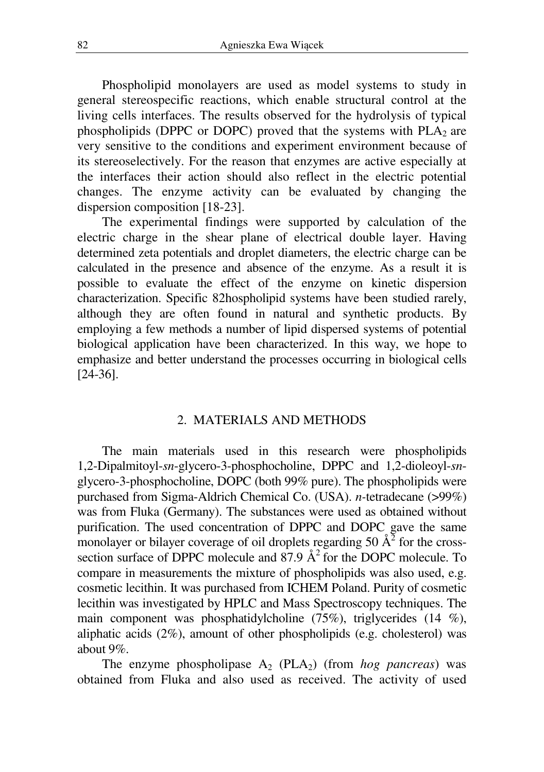Phospholipid monolayers are used as model systems to study in general stereospecific reactions, which enable structural control at the living cells interfaces. The results observed for the hydrolysis of typical phospholipids (DPPC or DOPC) proved that the systems with  $PLA_2$  are very sensitive to the conditions and experiment environment because of its stereoselectively. For the reason that enzymes are active especially at the interfaces their action should also reflect in the electric potential changes. The enzyme activity can be evaluated by changing the dispersion composition [18-23].

The experimental findings were supported by calculation of the electric charge in the shear plane of electrical double layer. Having determined zeta potentials and droplet diameters, the electric charge can be calculated in the presence and absence of the enzyme. As a result it is possible to evaluate the effect of the enzyme on kinetic dispersion characterization. Specific 82hospholipid systems have been studied rarely, although they are often found in natural and synthetic products. By employing a few methods a number of lipid dispersed systems of potential biological application have been characterized. In this way, we hope to emphasize and better understand the processes occurring in biological cells [24-36].

#### 2. MATERIALS AND METHODS

The main materials used in this research were phospholipids 1,2-Dipalmitoyl-*sn*-glycero-3-phosphocholine, DPPC and 1,2-dioleoyl-*sn*glycero-3-phosphocholine, DOPC (both 99% pure). The phospholipids were purchased from Sigma-Aldrich Chemical Co. (USA). *n-*tetradecane (>99%) was from Fluka (Germany). The substances were used as obtained without purification. The used concentration of DPPC and DOPC gave the same monolayer or bilayer coverage of oil droplets regarding 50  $\AA^2$  for the crosssection surface of DPPC molecule and  $87.9 \text{ Å}^2$  for the DOPC molecule. To compare in measurements the mixture of phospholipids was also used, e.g. cosmetic lecithin. It was purchased from ICHEM Poland. Purity of cosmetic lecithin was investigated by HPLC and Mass Spectroscopy techniques. The main component was phosphatidylcholine (75%), triglycerides (14 %), aliphatic acids (2%), amount of other phospholipids (e.g. cholesterol) was about 9%.

The enzyme phospholipase  $A_2$  (PLA<sub>2</sub>) (from *hog pancreas*) was obtained from Fluka and also used as received. The activity of used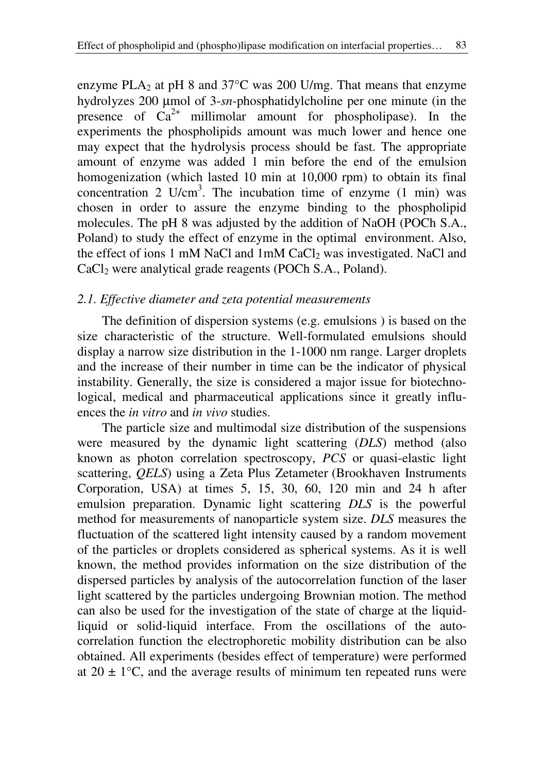enzyme PLA<sub>2</sub> at pH 8 and  $37^{\circ}$ C was 200 U/mg. That means that enzyme hydrolyzes 200 µmol of 3-*sn*-phosphatidylcholine per one minute (in the presence of  $Ca^{2+}$  millimolar amount for phospholipase). In the experiments the phospholipids amount was much lower and hence one may expect that the hydrolysis process should be fast. The appropriate amount of enzyme was added 1 min before the end of the emulsion homogenization (which lasted 10 min at 10,000 rpm) to obtain its final concentration 2  $U/cm<sup>3</sup>$ . The incubation time of enzyme (1 min) was chosen in order to assure the enzyme binding to the phospholipid molecules. The pH 8 was adjusted by the addition of NaOH (POCh S.A., Poland) to study the effect of enzyme in the optimal environment. Also, the effect of ions 1 mM NaCl and 1mM CaCl<sub>2</sub> was investigated. NaCl and CaCl<sub>2</sub> were analytical grade reagents (POCh S.A., Poland).

# *2.1. Effective diameter and zeta potential measurements*

The definition of dispersion systems (e.g. emulsions ) is based on the size characteristic of the structure. Well-formulated emulsions should display a narrow size distribution in the 1-1000 nm range. Larger droplets and the increase of their number in time can be the indicator of physical instability. Generally, the size is considered a major issue for biotechnological, medical and pharmaceutical applications since it greatly influences the *in vitro* and *in vivo* studies.

The particle size and multimodal size distribution of the suspensions were measured by the dynamic light scattering (*DLS*) method (also known as photon correlation spectroscopy, *PCS* or quasi-elastic light scattering, *QELS*) using a Zeta Plus Zetameter (Brookhaven Instruments Corporation, USA) at times 5, 15, 30, 60, 120 min and 24 h after emulsion preparation. Dynamic light scattering *DLS* is the powerful method for measurements of nanoparticle system size. *DLS* measures the fluctuation of the scattered light intensity caused by a random movement of the particles or droplets considered as spherical systems. As it is well known, the method provides information on the size distribution of the dispersed particles by analysis of the autocorrelation function of the laser light scattered by the particles undergoing Brownian motion. The method can also be used for the investigation of the state of charge at the liquidliquid or solid-liquid interface. From the oscillations of the autocorrelation function the electrophoretic mobility distribution can be also obtained. All experiments (besides effect of temperature) were performed at  $20 \pm 1$ °C, and the average results of minimum ten repeated runs were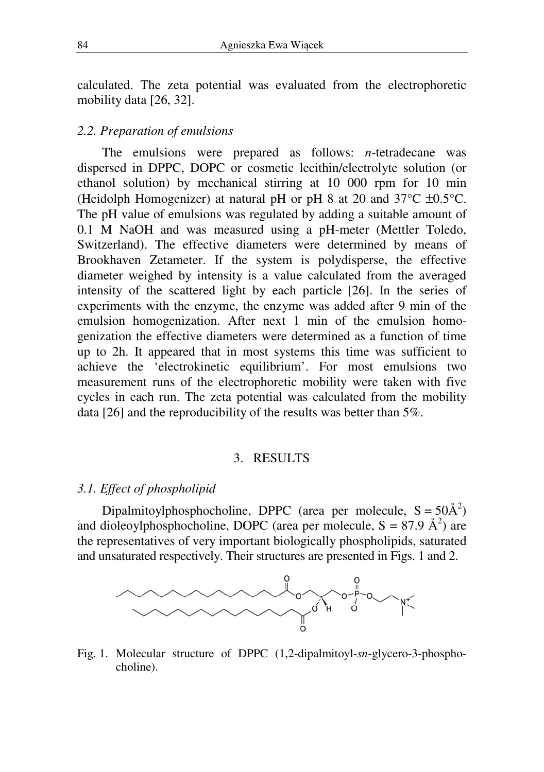calculated. The zeta potential was evaluated from the electrophoretic mobility data [26, 32].

#### *2.2. Preparation of emulsions*

The emulsions were prepared as follows: *n*-tetradecane was dispersed in DPPC, DOPC or cosmetic lecithin/electrolyte solution (or ethanol solution) by mechanical stirring at 10 000 rpm for 10 min (Heidolph Homogenizer) at natural pH or pH 8 at 20 and  $37^{\circ}$ C  $\pm 0.5^{\circ}$ C. The pH value of emulsions was regulated by adding a suitable amount of 0.1 M NaOH and was measured using a pH-meter (Mettler Toledo, Switzerland). The effective diameters were determined by means of Brookhaven Zetameter. If the system is polydisperse, the effective diameter weighed by intensity is a value calculated from the averaged intensity of the scattered light by each particle [26]. In the series of experiments with the enzyme, the enzyme was added after 9 min of the emulsion homogenization. After next 1 min of the emulsion homogenization the effective diameters were determined as a function of time up to 2h. It appeared that in most systems this time was sufficient to achieve the 'electrokinetic equilibrium'. For most emulsions two measurement runs of the electrophoretic mobility were taken with five cycles in each run. The zeta potential was calculated from the mobility data [26] and the reproducibility of the results was better than 5%.

#### 3. RESULTS

#### *3.1. Effect of phospholipid*

Dipalmitoylphosphocholine, DPPC (area per molecule,  $S = 50\text{\AA}^2$ ) and dioleoylphosphocholine, DOPC (area per molecule,  $S = 87.9 \text{ Å}^2$ ) are the representatives of very important biologically phospholipids, saturated and unsaturated respectively. Their structures are presented in Figs. 1 and 2.



Fig. 1. Molecular structure of DPPC (1,2-dipalmitoyl-*sn*-glycero-3-phospho choline).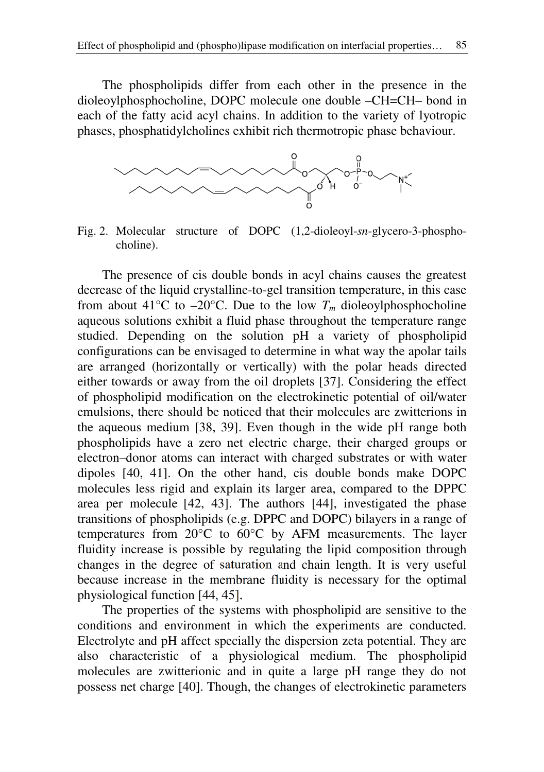The phospholipids differ from each other in the presence in the dioleoylphosphocholine, DOPC molecule one double –CH=CH– bond in each of the fatty acid acyl chains. In addition to the variety of lyotropic phases, phosphatidylcholines exhibit rich thermotropic phase behaviour.



Fig. 2. Molecular structure of DOPC (1,2-dioleoyl-*sn*-glycero-3-phospho choline).

The presence of cis double bonds in acyl chains causes the greatest decrease of the liquid crystalline-to-gel transition temperature, in this case from about 41<sup>o</sup>C to –20<sup>o</sup>C. Due to the low  $T_m$  dioleoylphosphocholine aqueous solutions exhibit a fluid phase throughout the temperature range studied. Depending on the solution pH a variety of phospholipid configurations can be envisaged to determine in what way the apolar tails are arranged (horizontally or vertically) with the polar heads directed either towards or away from the oil droplets [37]. Considering the effect of phospholipid modification on the electrokinetic potential of oil/water emulsions, there should be noticed that their molecules are zwitterions in the aqueous medium [38, 39]. Even though in the wide pH range both phospholipids have a zero net electric charge, their charged groups or electron–donor atoms can interact with charged substrates or with water dipoles [40, 41]. On the other hand, cis double bonds make DOPC molecules less rigid and explain its larger area, compared to the DPPC area per molecule [42, 43]. The authors [44], investigated the phase transitions of phospholipids (e.g. DPPC and DOPC) bilayers in a range of temperatures from 20°C to 60°C by AFM measurements. The layer fluidity increase is possible by regulating the lipid composition through changes in the degree of saturation and chain length. It is very useful because increase in the membrane fluidity is necessary for the optimal physiological function [44, 45].

The properties of the systems with phospholipid are sensitive to the conditions and environment in which the experiments are conducted. Electrolyte and pH affect specially the dispersion zeta potential. They are also characteristic of a physiological medium. The phospholipid molecules are zwitterionic and in quite a large pH range they do not possess net charge [40]. Though, the changes of electrokinetic parameters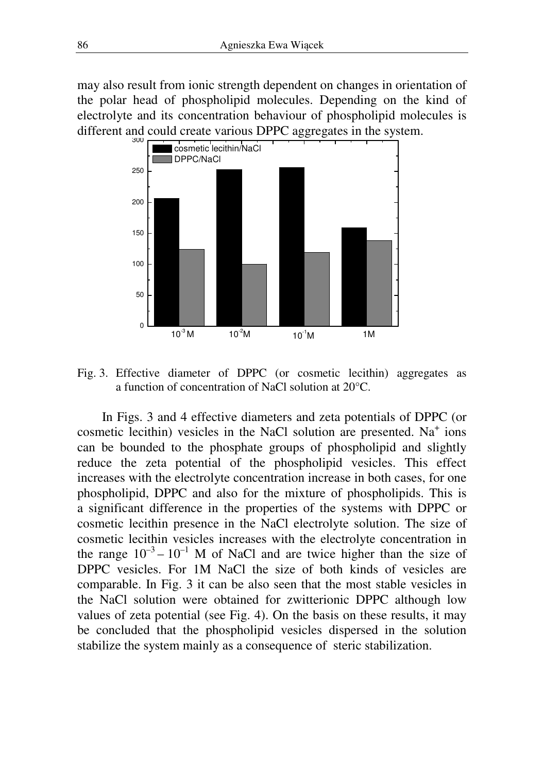may also result from ionic strength dependent on changes in orientation of the polar head of phospholipid molecules. Depending on the kind of electrolyte and its concentration behaviour of phospholipid molecules is different and could create various DPPC aggregates in the system.



Fig. 3. Effective diameter of DPPC (or cosmetic lecithin) aggregates as a function of concentration of NaCl solution at 20°C.

In Figs. 3 and 4 effective diameters and zeta potentials of DPPC (or cosmetic lecithin) vesicles in the NaCl solution are presented. Na<sup>+</sup> ions can be bounded to the phosphate groups of phospholipid and slightly reduce the zeta potential of the phospholipid vesicles. This effect increases with the electrolyte concentration increase in both cases, for one phospholipid, DPPC and also for the mixture of phospholipids. This is a significant difference in the properties of the systems with DPPC or cosmetic lecithin presence in the NaCl electrolyte solution. The size of cosmetic lecithin vesicles increases with the electrolyte concentration in the range  $10^{-3} - 10^{-1}$  M of NaCl and are twice higher than the size of DPPC vesicles. For 1M NaCl the size of both kinds of vesicles are comparable. In Fig. 3 it can be also seen that the most stable vesicles in the NaCl solution were obtained for zwitterionic DPPC although low values of zeta potential (see Fig. 4). On the basis on these results, it may be concluded that the phospholipid vesicles dispersed in the solution stabilize the system mainly as a consequence of steric stabilization.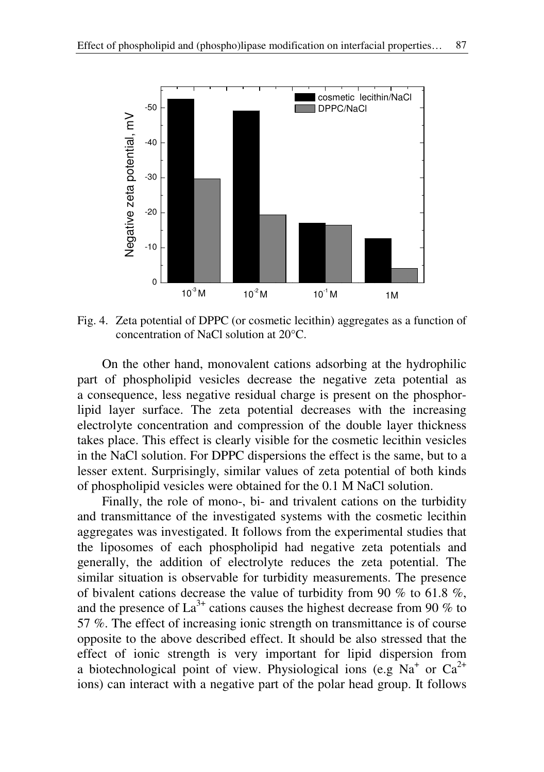

Fig. 4. Zeta potential of DPPC (or cosmetic lecithin) aggregates as a function of concentration of NaCl solution at 20°C.

On the other hand, monovalent cations adsorbing at the hydrophilic part of phospholipid vesicles decrease the negative zeta potential as a consequence, less negative residual charge is present on the phosphorlipid layer surface. The zeta potential decreases with the increasing electrolyte concentration and compression of the double layer thickness takes place. This effect is clearly visible for the cosmetic lecithin vesicles in the NaCl solution. For DPPC dispersions the effect is the same, but to a lesser extent. Surprisingly, similar values of zeta potential of both kinds of phospholipid vesicles were obtained for the 0.1 M NaCl solution.

Finally, the role of mono-, bi- and trivalent cations on the turbidity and transmittance of the investigated systems with the cosmetic lecithin aggregates was investigated. It follows from the experimental studies that the liposomes of each phospholipid had negative zeta potentials and generally, the addition of electrolyte reduces the zeta potential. The similar situation is observable for turbidity measurements. The presence of bivalent cations decrease the value of turbidity from 90 % to 61.8 %, and the presence of  $La^{3+}$  cations causes the highest decrease from 90 % to 57 %. The effect of increasing ionic strength on transmittance is of course opposite to the above described effect. It should be also stressed that the effect of ionic strength is very important for lipid dispersion from a biotechnological point of view. Physiological ions (e.g  $Na<sup>+</sup>$  or  $Ca<sup>2+</sup>$ ions) can interact with a negative part of the polar head group. It follows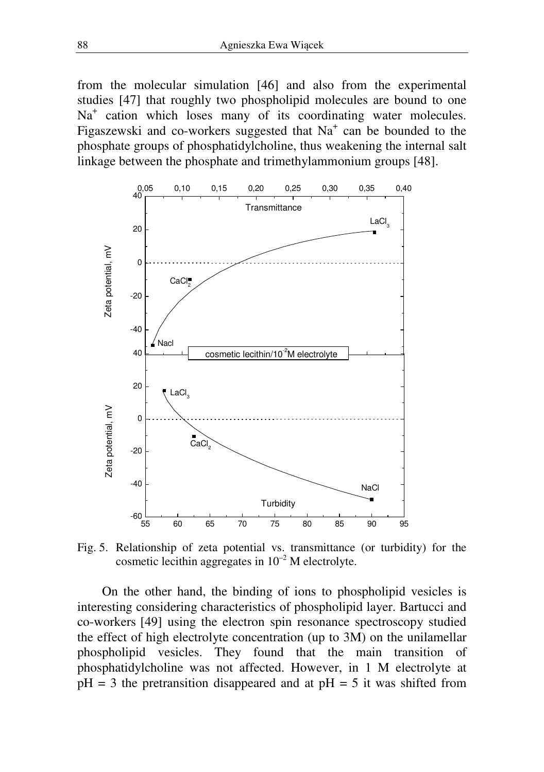from the molecular simulation [46] and also from the experimental studies [47] that roughly two phospholipid molecules are bound to one Na<sup>+</sup> cation which loses many of its coordinating water molecules. Figaszewski and co-workers suggested that  $Na<sup>+</sup>$  can be bounded to the phosphate groups of phosphatidylcholine, thus weakening the internal salt linkage between the phosphate and trimethylammonium groups [48].



Fig. 5. Relationship of zeta potential vs. transmittance (or turbidity) for the cosmetic lecithin aggregates in  $10^{-2}$  M electrolyte.

On the other hand, the binding of ions to phospholipid vesicles is interesting considering characteristics of phospholipid layer. Bartucci and co-workers [49] using the electron spin resonance spectroscopy studied the effect of high electrolyte concentration (up to 3M) on the unilamellar phospholipid vesicles. They found that the main transition of phosphatidylcholine was not affected. However, in 1 M electrolyte at  $pH = 3$  the pretransition disappeared and at  $pH = 5$  it was shifted from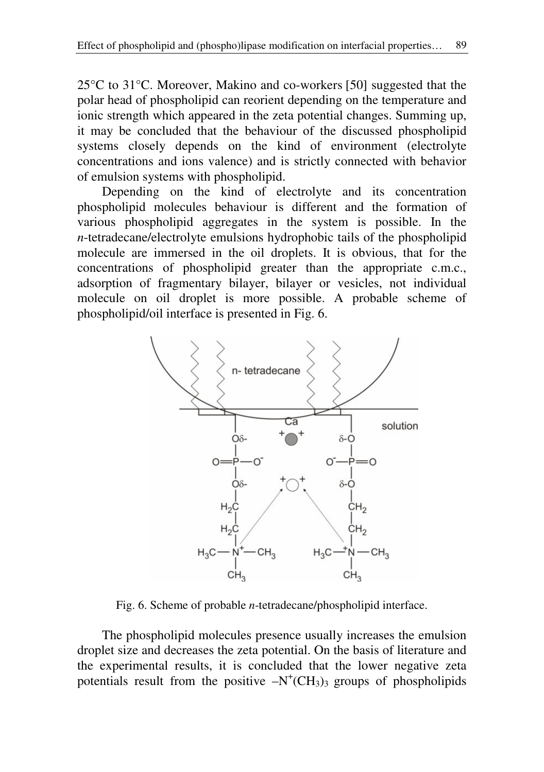25°C to 31°C. Moreover, Makino and co-workers [50] suggested that the polar head of phospholipid can reorient depending on the temperature and ionic strength which appeared in the zeta potential changes. Summing up, it may be concluded that the behaviour of the discussed phospholipid systems closely depends on the kind of environment (electrolyte concentrations and ions valence) and is strictly connected with behavior of emulsion systems with phospholipid.

Depending on the kind of electrolyte and its concentration phospholipid molecules behaviour is different and the formation of various phospholipid aggregates in the system is possible. In the *n*-tetradecane/electrolyte emulsions hydrophobic tails of the phospholipid molecule are immersed in the oil droplets. It is obvious, that for the concentrations of phospholipid greater than the appropriate c.m.c., adsorption of fragmentary bilayer, bilayer or vesicles, not individual molecule on oil droplet is more possible. A probable scheme of phospholipid/oil interface is presented in Fig. 6.



Fig. 6. Scheme of probable *n*-tetradecane/phospholipid interface.

The phospholipid molecules presence usually increases the emulsion droplet size and decreases the zeta potential. On the basis of literature and the experimental results, it is concluded that the lower negative zeta potentials result from the positive  $-N<sup>+</sup>(CH<sub>3</sub>)<sub>3</sub>$  groups of phospholipids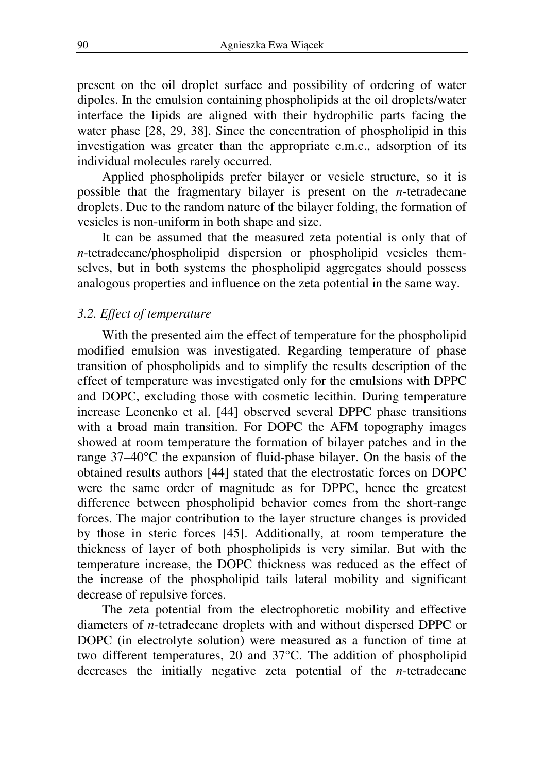present on the oil droplet surface and possibility of ordering of water dipoles. In the emulsion containing phospholipids at the oil droplets/water interface the lipids are aligned with their hydrophilic parts facing the water phase [28, 29, 38]. Since the concentration of phospholipid in this investigation was greater than the appropriate c.m.c., adsorption of its individual molecules rarely occurred.

Applied phospholipids prefer bilayer or vesicle structure, so it is possible that the fragmentary bilayer is present on the *n*-tetradecane droplets. Due to the random nature of the bilayer folding, the formation of vesicles is non-uniform in both shape and size.

It can be assumed that the measured zeta potential is only that of *n*-tetradecane/phospholipid dispersion or phospholipid vesicles themselves, but in both systems the phospholipid aggregates should possess analogous properties and influence on the zeta potential in the same way.

#### *3.2. Effect of temperature*

With the presented aim the effect of temperature for the phospholipid modified emulsion was investigated. Regarding temperature of phase transition of phospholipids and to simplify the results description of the effect of temperature was investigated only for the emulsions with DPPC and DOPC, excluding those with cosmetic lecithin. During temperature increase Leonenko et al. [44] observed several DPPC phase transitions with a broad main transition. For DOPC the AFM topography images showed at room temperature the formation of bilayer patches and in the range 37–40°C the expansion of fluid-phase bilayer. On the basis of the obtained results authors [44] stated that the electrostatic forces on DOPC were the same order of magnitude as for DPPC, hence the greatest difference between phospholipid behavior comes from the short-range forces. The major contribution to the layer structure changes is provided by those in steric forces [45]. Additionally, at room temperature the thickness of layer of both phospholipids is very similar. But with the temperature increase, the DOPC thickness was reduced as the effect of the increase of the phospholipid tails lateral mobility and significant decrease of repulsive forces.

The zeta potential from the electrophoretic mobility and effective diameters of *n*-tetradecane droplets with and without dispersed DPPC or DOPC (in electrolyte solution) were measured as a function of time at two different temperatures, 20 and 37°C. The addition of phospholipid decreases the initially negative zeta potential of the *n*-tetradecane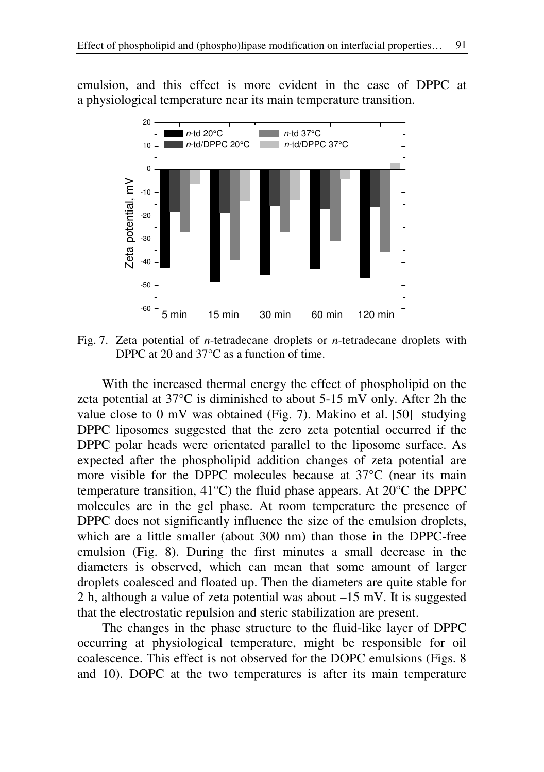emulsion, and this effect is more evident in the case of DPPC at a physiological temperature near its main temperature transition.



Fig. 7. Zeta potential of *n*-tetradecane droplets or *n*-tetradecane droplets with DPPC at 20 and 37<sup>o</sup>C as a function of time.

With the increased thermal energy the effect of phospholipid on the zeta potential at 37°C is diminished to about 5-15 mV only. After 2h the value close to 0 mV was obtained (Fig. 7). Makino et al. [50] studying DPPC liposomes suggested that the zero zeta potential occurred if the DPPC polar heads were orientated parallel to the liposome surface. As expected after the phospholipid addition changes of zeta potential are more visible for the DPPC molecules because at 37°C (near its main temperature transition,  $41^{\circ}$ C) the fluid phase appears. At  $20^{\circ}$ C the DPPC molecules are in the gel phase. At room temperature the presence of DPPC does not significantly influence the size of the emulsion droplets, which are a little smaller (about 300 nm) than those in the DPPC-free emulsion (Fig. 8). During the first minutes a small decrease in the diameters is observed, which can mean that some amount of larger droplets coalesced and floated up. Then the diameters are quite stable for 2 h, although a value of zeta potential was about –15 mV. It is suggested that the electrostatic repulsion and steric stabilization are present.

The changes in the phase structure to the fluid-like layer of DPPC occurring at physiological temperature, might be responsible for oil coalescence. This effect is not observed for the DOPC emulsions (Figs. 8 and 10). DOPC at the two temperatures is after its main temperature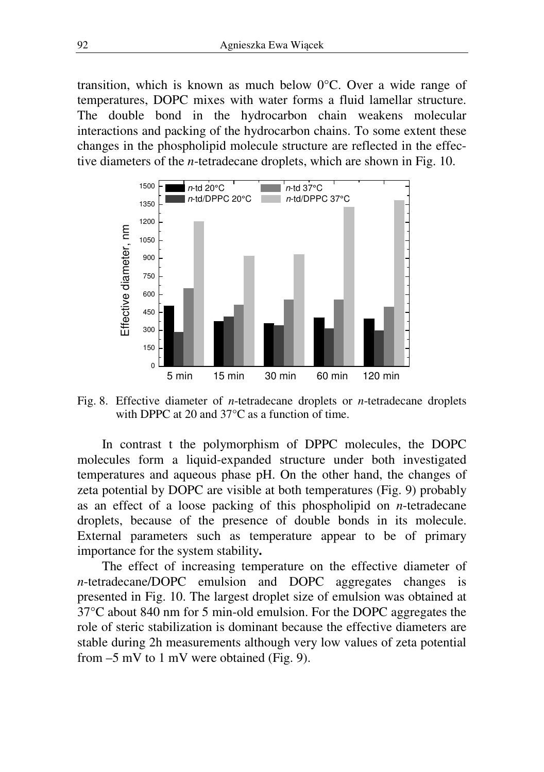transition, which is known as much below 0°C. Over a wide range of temperatures, DOPC mixes with water forms a fluid lamellar structure. The double bond in the hydrocarbon chain weakens molecular interactions and packing of the hydrocarbon chains. To some extent these changes in the phospholipid molecule structure are reflected in the effective diameters of the *n*-tetradecane droplets, which are shown in Fig. 10.



Fig. 8. Effective diameter of *n*-tetradecane droplets or *n*-tetradecane droplets with DPPC at 20 and 37<sup>o</sup>C as a function of time.

In contrast t the polymorphism of DPPC molecules, the DOPC molecules form a liquid-expanded structure under both investigated temperatures and aqueous phase pH. On the other hand, the changes of zeta potential by DOPC are visible at both temperatures (Fig. 9) probably as an effect of a loose packing of this phospholipid on *n*-tetradecane droplets, because of the presence of double bonds in its molecule. External parameters such as temperature appear to be of primary importance for the system stability**.** 

The effect of increasing temperature on the effective diameter of *n*-tetradecane/DOPC emulsion and DOPC aggregates changes is presented in Fig. 10. The largest droplet size of emulsion was obtained at 37°C about 840 nm for 5 min-old emulsion. For the DOPC aggregates the role of steric stabilization is dominant because the effective diameters are stable during 2h measurements although very low values of zeta potential from –5 mV to 1 mV were obtained (Fig. 9).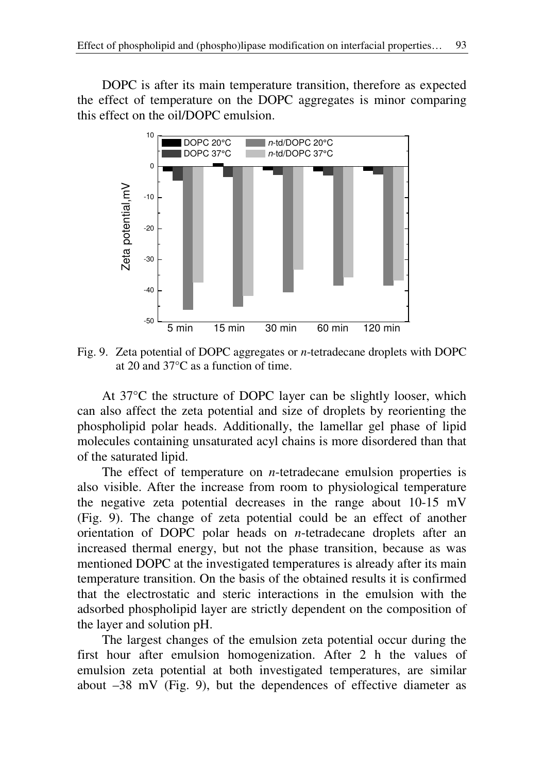DOPC is after its main temperature transition, therefore as expected the effect of temperature on the DOPC aggregates is minor comparing this effect on the oil/DOPC emulsion.



Fig. 9. Zeta potential of DOPC aggregates or *n*-tetradecane droplets with DOPC at 20 and 37°C as a function of time.

At 37°C the structure of DOPC layer can be slightly looser, which can also affect the zeta potential and size of droplets by reorienting the phospholipid polar heads. Additionally, the lamellar gel phase of lipid molecules containing unsaturated acyl chains is more disordered than that of the saturated lipid.

The effect of temperature on *n*-tetradecane emulsion properties is also visible. After the increase from room to physiological temperature the negative zeta potential decreases in the range about 10-15 mV (Fig. 9). The change of zeta potential could be an effect of another orientation of DOPC polar heads on *n*-tetradecane droplets after an increased thermal energy, but not the phase transition, because as was mentioned DOPC at the investigated temperatures is already after its main temperature transition. On the basis of the obtained results it is confirmed that the electrostatic and steric interactions in the emulsion with the adsorbed phospholipid layer are strictly dependent on the composition of the layer and solution pH.

The largest changes of the emulsion zeta potential occur during the first hour after emulsion homogenization. After 2 h the values of emulsion zeta potential at both investigated temperatures, are similar about –38 mV (Fig. 9), but the dependences of effective diameter as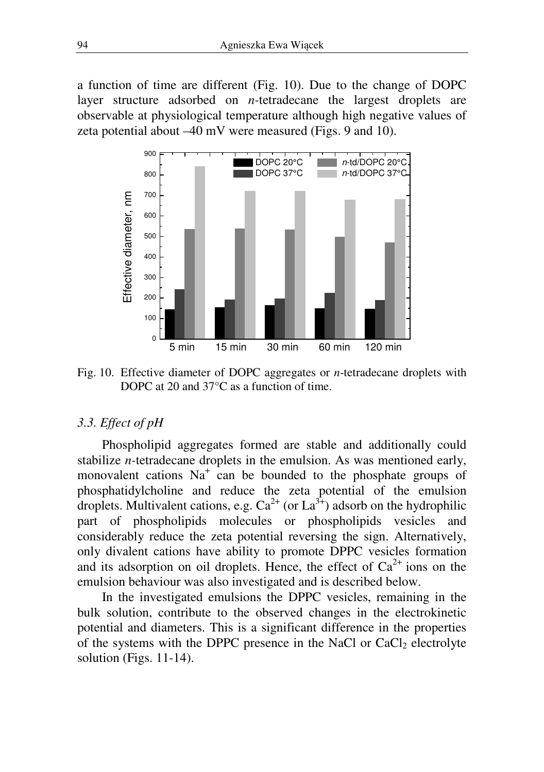a function of time are different (Fig. 10). Due to the change of DOPC layer structure adsorbed on *n-*tetradecane the largest droplets are observable at physiological temperature although high negative values of zeta potential about –40 mV were measured (Figs. 9 and 10).



Fig. 10. Effective diameter of DOPC aggregates or *n*-tetradecane droplets with DOPC at 20 and 37<sup>o</sup>C as a function of time.

#### *3.3. Effect of pH*

Phospholipid aggregates formed are stable and additionally could stabilize *n-*tetradecane droplets in the emulsion. As was mentioned early, monovalent cations  $Na<sup>+</sup>$  can be bounded to the phosphate groups of phosphatidylcholine and reduce the zeta potential of the emulsion droplets. Multivalent cations, e.g.  $Ca^{2+}$  (or  $La^{3+}$ ) adsorb on the hydrophilic part of phospholipids molecules or phospholipids vesicles and considerably reduce the zeta potential reversing the sign. Alternatively, only divalent cations have ability to promote DPPC vesicles formation and its adsorption on oil droplets. Hence, the effect of  $Ca<sup>2+</sup>$  ions on the emulsion behaviour was also investigated and is described below.

In the investigated emulsions the DPPC vesicles, remaining in the bulk solution, contribute to the observed changes in the electrokinetic potential and diameters. This is a significant difference in the properties of the systems with the DPPC presence in the NaCl or  $CaCl<sub>2</sub>$  electrolyte solution (Figs. 11-14).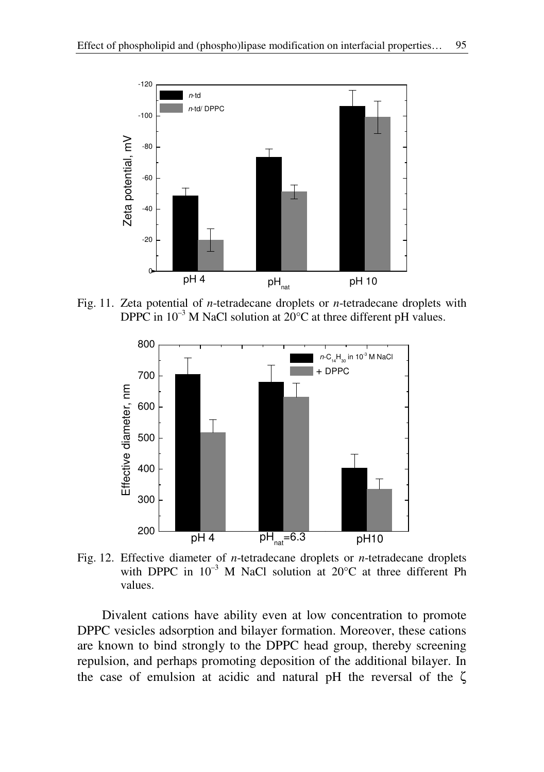

Fig. 11. Zeta potential of *n*-tetradecane droplets or *n*-tetradecane droplets with DPPC in  $10^{-3}$  M NaCl solution at  $20^{\circ}$ C at three different pH values.



Fig. 12. Effective diameter of *n*-tetradecane droplets or *n*-tetradecane droplets with DPPC in  $10^{-3}$  M NaCl solution at  $20^{\circ}$ C at three different Ph values.

Divalent cations have ability even at low concentration to promote DPPC vesicles adsorption and bilayer formation. Moreover, these cations are known to bind strongly to the DPPC head group, thereby screening repulsion, and perhaps promoting deposition of the additional bilayer. In the case of emulsion at acidic and natural pH the reversal of the  $\zeta$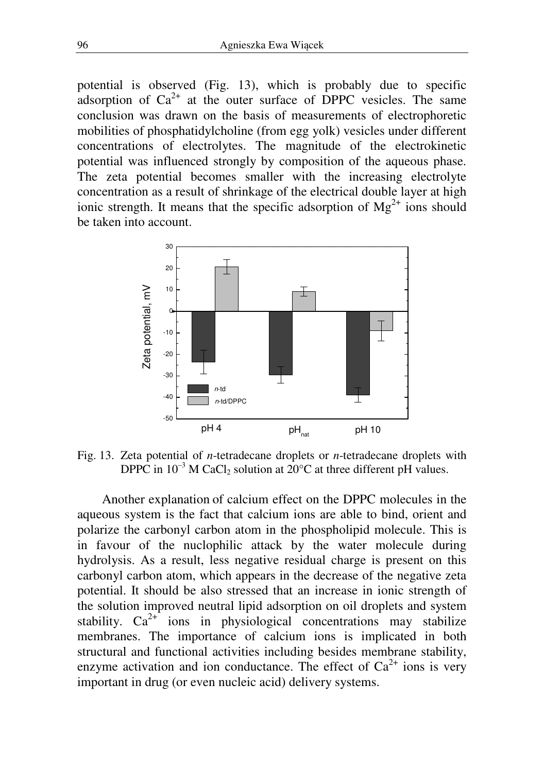potential is observed (Fig. 13), which is probably due to specific adsorption of  $Ca^{2+}$  at the outer surface of DPPC vesicles. The same conclusion was drawn on the basis of measurements of electrophoretic mobilities of phosphatidylcholine (from egg yolk) vesicles under different concentrations of electrolytes. The magnitude of the electrokinetic potential was influenced strongly by composition of the aqueous phase. The zeta potential becomes smaller with the increasing electrolyte concentration as a result of shrinkage of the electrical double layer at high ionic strength. It means that the specific adsorption of  $Mg^{2+}$  ions should be taken into account.



Fig. 13. Zeta potential of *n*-tetradecane droplets or *n*-tetradecane droplets with DPPC in  $10^{-3}$  M CaCl<sub>2</sub> solution at  $20^{\circ}$ C at three different pH values.

Another explanation of calcium effect on the DPPC molecules in the aqueous system is the fact that calcium ions are able to bind, orient and polarize the carbonyl carbon atom in the phospholipid molecule. This is in favour of the nuclophilic attack by the water molecule during hydrolysis. As a result, less negative residual charge is present on this carbonyl carbon atom, which appears in the decrease of the negative zeta potential. It should be also stressed that an increase in ionic strength of the solution improved neutral lipid adsorption on oil droplets and system stability.  $Ca^{2+}$  ions in physiological concentrations may stabilize membranes. The importance of calcium ions is implicated in both structural and functional activities including besides membrane stability, enzyme activation and ion conductance. The effect of  $Ca<sup>2+</sup>$  ions is very important in drug (or even nucleic acid) delivery systems.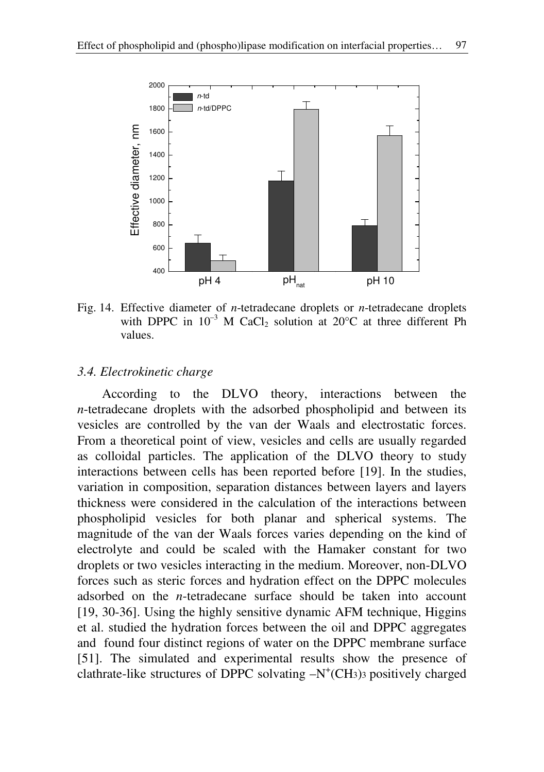

Fig. 14. Effective diameter of *n*-tetradecane droplets or *n*-tetradecane droplets with DPPC in  $10^{-3}$  M CaCl<sub>2</sub> solution at  $20^{\circ}$ C at three different Ph values.

#### *3.4. Electrokinetic charge*

According to the DLVO theory, interactions between the *n*-tetradecane droplets with the adsorbed phospholipid and between its vesicles are controlled by the van der Waals and electrostatic forces. From a theoretical point of view, vesicles and cells are usually regarded as colloidal particles. The application of the DLVO theory to study interactions between cells has been reported before [19]. In the studies, variation in composition, separation distances between layers and layers thickness were considered in the calculation of the interactions between phospholipid vesicles for both planar and spherical systems. The magnitude of the van der Waals forces varies depending on the kind of electrolyte and could be scaled with the Hamaker constant for two droplets or two vesicles interacting in the medium. Moreover, non-DLVO forces such as steric forces and hydration effect on the DPPC molecules adsorbed on the *n*-tetradecane surface should be taken into account [19, 30-36]. Using the highly sensitive dynamic AFM technique, Higgins et al. studied the hydration forces between the oil and DPPC aggregates and found four distinct regions of water on the DPPC membrane surface [51]. The simulated and experimental results show the presence of clathrate-like structures of DPPC solvating  $-N^+(CH_3)$ <sub>3</sub> positively charged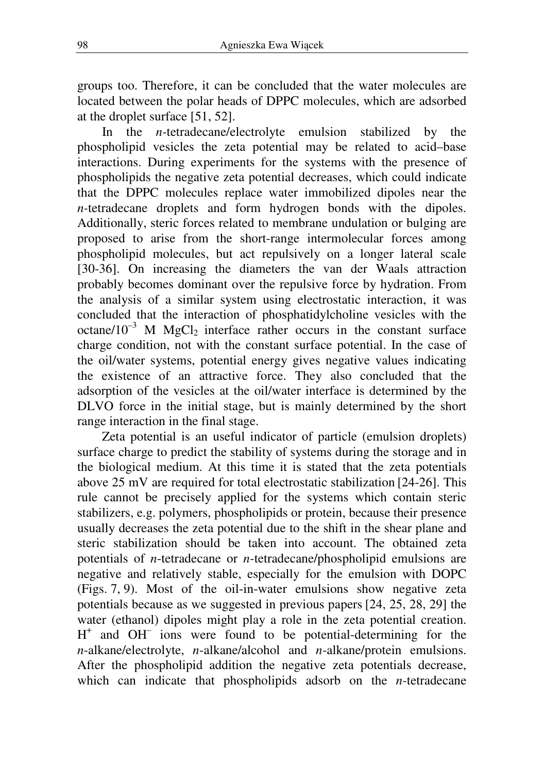groups too. Therefore, it can be concluded that the water molecules are located between the polar heads of DPPC molecules, which are adsorbed at the droplet surface [51, 52].

In the *n-*tetradecane/electrolyte emulsion stabilized by the phospholipid vesicles the zeta potential may be related to acid–base interactions. During experiments for the systems with the presence of phospholipids the negative zeta potential decreases, which could indicate that the DPPC molecules replace water immobilized dipoles near the *n-*tetradecane droplets and form hydrogen bonds with the dipoles. Additionally, steric forces related to membrane undulation or bulging are proposed to arise from the short-range intermolecular forces among phospholipid molecules, but act repulsively on a longer lateral scale [30-36]. On increasing the diameters the van der Waals attraction probably becomes dominant over the repulsive force by hydration. From the analysis of a similar system using electrostatic interaction, it was concluded that the interaction of phosphatidylcholine vesicles with the octane/ $10^{-3}$  M MgCl<sub>2</sub> interface rather occurs in the constant surface charge condition, not with the constant surface potential. In the case of the oil/water systems, potential energy gives negative values indicating the existence of an attractive force. They also concluded that the adsorption of the vesicles at the oil/water interface is determined by the DLVO force in the initial stage, but is mainly determined by the short range interaction in the final stage.

Zeta potential is an useful indicator of particle (emulsion droplets) surface charge to predict the stability of systems during the storage and in the biological medium. At this time it is stated that the zeta potentials above 25 mV are required for total electrostatic stabilization [24-26]. This rule cannot be precisely applied for the systems which contain steric stabilizers, e.g. polymers, phospholipids or protein, because their presence usually decreases the zeta potential due to the shift in the shear plane and steric stabilization should be taken into account. The obtained zeta potentials of *n*-tetradecane or *n*-tetradecane/phospholipid emulsions are negative and relatively stable, especially for the emulsion with DOPC (Figs. 7, 9). Most of the oil-in-water emulsions show negative zeta potentials because as we suggested in previous papers [24, 25, 28, 29] the water (ethanol) dipoles might play a role in the zeta potential creation. H<sup>+</sup> and OH<sup>-</sup> ions were found to be potential-determining for the *n*-alkane/electrolyte, *n*-alkane/alcohol and *n*-alkane/protein emulsions. After the phospholipid addition the negative zeta potentials decrease, which can indicate that phospholipids adsorb on the *n-*tetradecane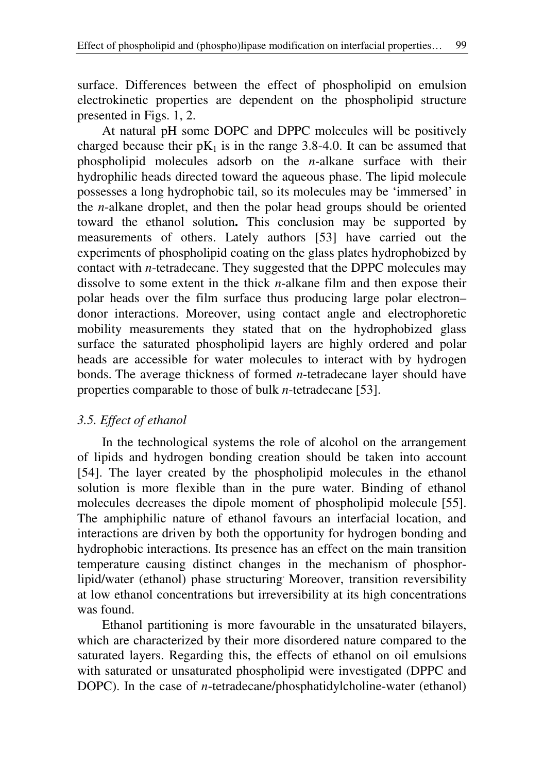surface. Differences between the effect of phospholipid on emulsion electrokinetic properties are dependent on the phospholipid structure presented in Figs. 1, 2.

At natural pH some DOPC and DPPC molecules will be positively charged because their  $pK_1$  is in the range 3.8-4.0. It can be assumed that phospholipid molecules adsorb on the *n*-alkane surface with their hydrophilic heads directed toward the aqueous phase. The lipid molecule possesses a long hydrophobic tail, so its molecules may be 'immersed' in the *n*-alkane droplet, and then the polar head groups should be oriented toward the ethanol solution**.** This conclusion may be supported by measurements of others. Lately authors [53] have carried out the experiments of phospholipid coating on the glass plates hydrophobized by contact with *n*-tetradecane. They suggested that the DPPC molecules may dissolve to some extent in the thick *n*-alkane film and then expose their polar heads over the film surface thus producing large polar electron– donor interactions. Moreover, using contact angle and electrophoretic mobility measurements they stated that on the hydrophobized glass surface the saturated phospholipid layers are highly ordered and polar heads are accessible for water molecules to interact with by hydrogen bonds. The average thickness of formed *n*-tetradecane layer should have properties comparable to those of bulk *n*-tetradecane [53].

# *3.5. Effect of ethanol*

In the technological systems the role of alcohol on the arrangement of lipids and hydrogen bonding creation should be taken into account [54]. The layer created by the phospholipid molecules in the ethanol solution is more flexible than in the pure water. Binding of ethanol molecules decreases the dipole moment of phospholipid molecule [55]. The amphiphilic nature of ethanol favours an interfacial location, and interactions are driven by both the opportunity for hydrogen bonding and hydrophobic interactions. Its presence has an effect on the main transition temperature causing distinct changes in the mechanism of phosphorlipid/water (ethanol) phase structuring. Moreover, transition reversibility at low ethanol concentrations but irreversibility at its high concentrations was found.

Ethanol partitioning is more favourable in the unsaturated bilayers, which are characterized by their more disordered nature compared to the saturated layers. Regarding this, the effects of ethanol on oil emulsions with saturated or unsaturated phospholipid were investigated (DPPC and DOPC). In the case of *n*-tetradecane/phosphatidylcholine-water (ethanol)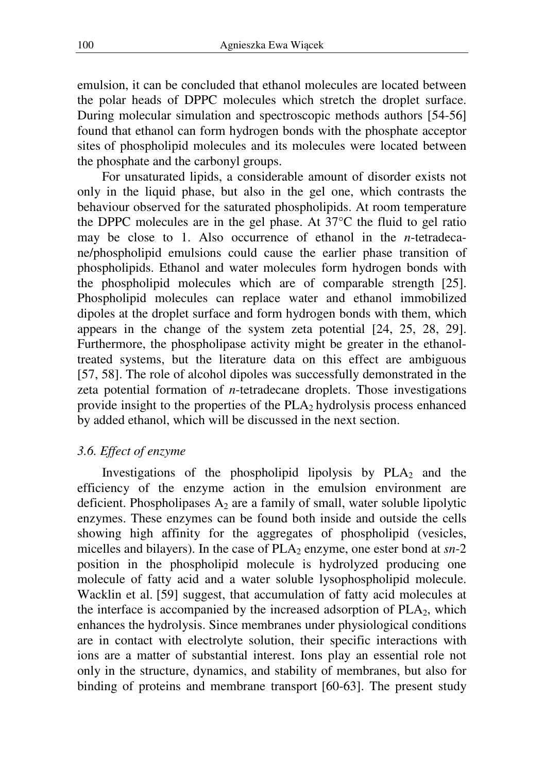emulsion, it can be concluded that ethanol molecules are located between the polar heads of DPPC molecules which stretch the droplet surface. During molecular simulation and spectroscopic methods authors [54-56] found that ethanol can form hydrogen bonds with the phosphate acceptor sites of phospholipid molecules and its molecules were located between the phosphate and the carbonyl groups.

For unsaturated lipids, a considerable amount of disorder exists not only in the liquid phase, but also in the gel one, which contrasts the behaviour observed for the saturated phospholipids. At room temperature the DPPC molecules are in the gel phase. At 37°C the fluid to gel ratio may be close to 1. Also occurrence of ethanol in the *n*-tetradecane/phospholipid emulsions could cause the earlier phase transition of phospholipids. Ethanol and water molecules form hydrogen bonds with the phospholipid molecules which are of comparable strength [25]. Phospholipid molecules can replace water and ethanol immobilized dipoles at the droplet surface and form hydrogen bonds with them, which appears in the change of the system zeta potential [24, 25, 28, 29]. Furthermore, the phospholipase activity might be greater in the ethanoltreated systems, but the literature data on this effect are ambiguous [57, 58]. The role of alcohol dipoles was successfully demonstrated in the zeta potential formation of *n*-tetradecane droplets. Those investigations provide insight to the properties of the  $PLA<sub>2</sub>$  hydrolysis process enhanced by added ethanol, which will be discussed in the next section.

## *3.6. Effect of enzyme*

Investigations of the phospholipid lipolysis by  $PLA_2$  and the efficiency of the enzyme action in the emulsion environment are deficient. Phospholipases  $A_2$  are a family of small, water soluble lipolytic enzymes. These enzymes can be found both inside and outside the cells showing high affinity for the aggregates of phospholipid (vesicles, micelles and bilayers). In the case of PLA<sub>2</sub> enzyme, one ester bond at *sn*-2 position in the phospholipid molecule is hydrolyzed producing one molecule of fatty acid and a water soluble lysophospholipid molecule. Wacklin et al. [59] suggest, that accumulation of fatty acid molecules at the interface is accompanied by the increased adsorption of  $PLA<sub>2</sub>$ , which enhances the hydrolysis. Since membranes under physiological conditions are in contact with electrolyte solution, their specific interactions with ions are a matter of substantial interest. Ions play an essential role not only in the structure, dynamics, and stability of membranes, but also for binding of proteins and membrane transport [60-63]. The present study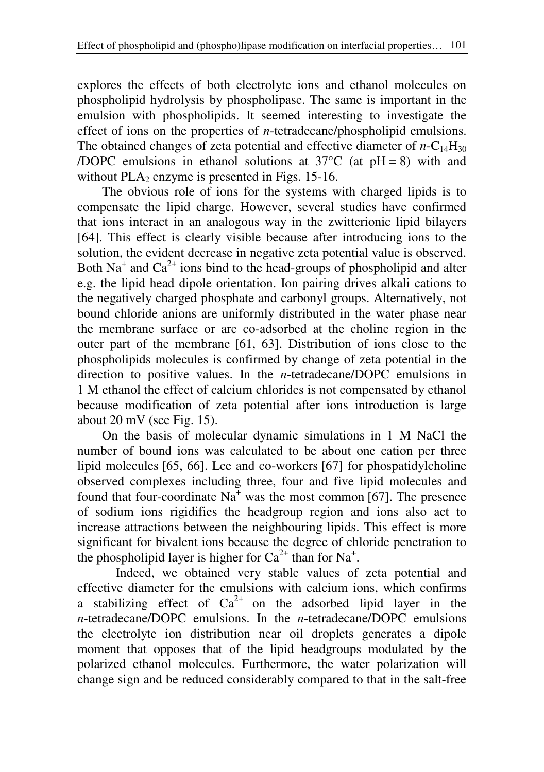explores the effects of both electrolyte ions and ethanol molecules on phospholipid hydrolysis by phospholipase. The same is important in the emulsion with phospholipids. It seemed interesting to investigate the effect of ions on the properties of *n*-tetradecane/phospholipid emulsions. The obtained changes of zeta potential and effective diameter of  $n-C_{14}H_{30}$ /DOPC emulsions in ethanol solutions at  $37^{\circ}$ C (at pH = 8) with and without  $PLA_2$  enzyme is presented in Figs. 15-16.

The obvious role of ions for the systems with charged lipids is to compensate the lipid charge. However, several studies have confirmed that ions interact in an analogous way in the zwitterionic lipid bilayers [64]. This effect is clearly visible because after introducing ions to the solution, the evident decrease in negative zeta potential value is observed. Both Na<sup>+</sup> and Ca<sup>2+</sup> ions bind to the head-groups of phospholipid and alter e.g. the lipid head dipole orientation. Ion pairing drives alkali cations to the negatively charged phosphate and carbonyl groups. Alternatively, not bound chloride anions are uniformly distributed in the water phase near the membrane surface or are co-adsorbed at the choline region in the outer part of the membrane [61, 63]. Distribution of ions close to the phospholipids molecules is confirmed by change of zeta potential in the direction to positive values. In the *n*-tetradecane/DOPC emulsions in 1 M ethanol the effect of calcium chlorides is not compensated by ethanol because modification of zeta potential after ions introduction is large about 20 mV (see Fig. 15).

On the basis of molecular dynamic simulations in 1 M NaCl the number of bound ions was calculated to be about one cation per three lipid molecules [65, 66]. Lee and co-workers [67] for phospatidylcholine observed complexes including three, four and five lipid molecules and found that four-coordinate  $Na<sup>+</sup>$  was the most common [67]. The presence of sodium ions rigidifies the headgroup region and ions also act to increase attractions between the neighbouring lipids. This effect is more significant for bivalent ions because the degree of chloride penetration to the phospholipid layer is higher for  $Ca^{2+}$  than for Na<sup>+</sup>.

 Indeed, we obtained very stable values of zeta potential and effective diameter for the emulsions with calcium ions, which confirms a stabilizing effect of  $Ca^{2+}$  on the adsorbed lipid layer in the *n*-tetradecane/DOPC emulsions. In the *n*-tetradecane/DOPC emulsions the electrolyte ion distribution near oil droplets generates a dipole moment that opposes that of the lipid headgroups modulated by the polarized ethanol molecules. Furthermore, the water polarization will change sign and be reduced considerably compared to that in the salt-free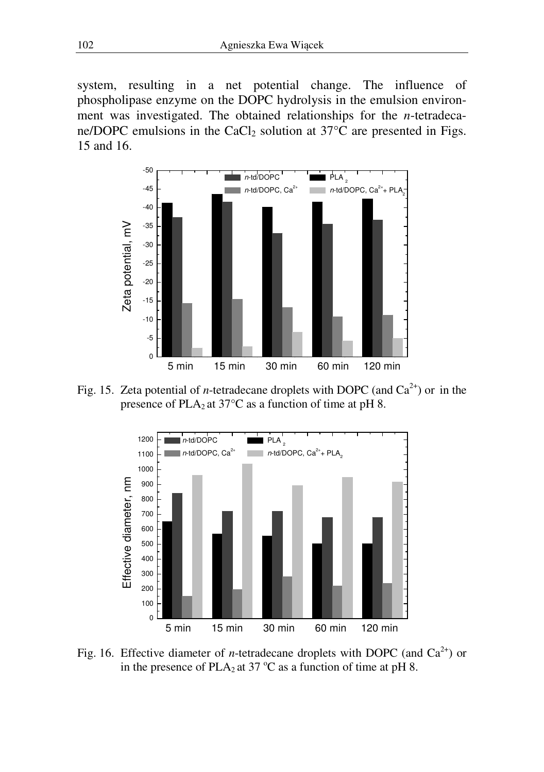system, resulting in a net potential change. The influence of phospholipase enzyme on the DOPC hydrolysis in the emulsion environment was investigated. The obtained relationships for the *n*-tetradecane/DOPC emulsions in the CaCl<sub>2</sub> solution at  $37^{\circ}$ C are presented in Figs. 15 and 16.



Fig. 15. Zeta potential of *n*-tetradecane droplets with DOPC (and  $Ca^{2+}$ ) or in the presence of  $PLA_2$  at 37°C as a function of time at pH 8.



Fig. 16. Effective diameter of *n*-tetradecane droplets with DOPC (and  $Ca^{2+}$ ) or in the presence of PLA<sub>2</sub> at 37 °C as a function of time at pH 8.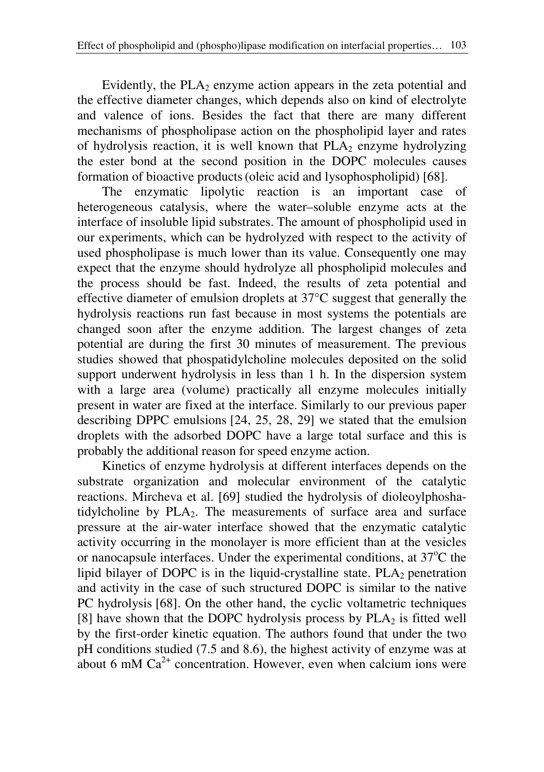Evidently, the  $PLA_2$  enzyme action appears in the zeta potential and the effective diameter changes, which depends also on kind of electrolyte and valence of ions. Besides the fact that there are many different mechanisms of phospholipase action on the phospholipid layer and rates of hydrolysis reaction, it is well known that  $PLA_2$  enzyme hydrolyzing the ester bond at the second position in the DOPC molecules causes formation of bioactive products(oleic acid and lysophospholipid) [68].

The enzymatic lipolytic reaction is an important case of heterogeneous catalysis, where the water–soluble enzyme acts at the interface of insoluble lipid substrates. The amount of phospholipid used in our experiments, which can be hydrolyzed with respect to the activity of used phospholipase is much lower than its value. Consequently one may expect that the enzyme should hydrolyze all phospholipid molecules and the process should be fast. Indeed, the results of zeta potential and effective diameter of emulsion droplets at 37°C suggest that generally the hydrolysis reactions run fast because in most systems the potentials are changed soon after the enzyme addition. The largest changes of zeta potential are during the first 30 minutes of measurement. The previous studies showed that phospatidylcholine molecules deposited on the solid support underwent hydrolysis in less than 1 h. In the dispersion system with a large area (volume) practically all enzyme molecules initially present in water are fixed at the interface. Similarly to our previous paper describing DPPC emulsions [24, 25, 28, 29] we stated that the emulsion droplets with the adsorbed DOPC have a large total surface and this is probably the additional reason for speed enzyme action.

Kinetics of enzyme hydrolysis at different interfaces depends on the substrate organization and molecular environment of the catalytic reactions. Mircheva et al. [69] studied the hydrolysis of dioleoylphoshatidylcholine by PLA2. The measurements of surface area and surface pressure at the air-water interface showed that the enzymatic catalytic activity occurring in the monolayer is more efficient than at the vesicles or nanocapsule interfaces. Under the experimental conditions, at  $37^{\circ}$ C the lipid bilayer of DOPC is in the liquid-crystalline state.  $PLA<sub>2</sub>$  penetration and activity in the case of such structured DOPC is similar to the native PC hydrolysis [68]. On the other hand, the cyclic voltametric techniques [8] have shown that the DOPC hydrolysis process by  $PLA<sub>2</sub>$  is fitted well by the first-order kinetic equation. The authors found that under the two pH conditions studied (7.5 and 8.6), the highest activity of enzyme was at about 6 mM  $Ca<sup>2+</sup>$  concentration. However, even when calcium ions were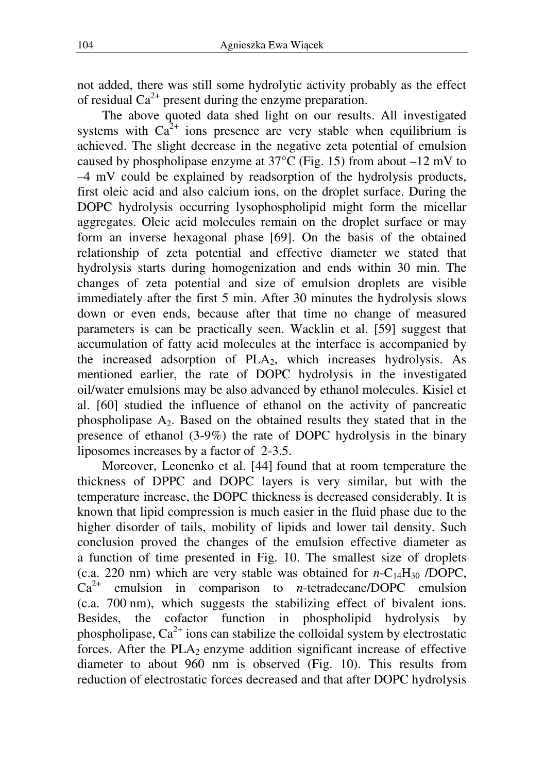not added, there was still some hydrolytic activity probably as the effect of residual  $Ca^{2+}$  present during the enzyme preparation.

The above quoted data shed light on our results. All investigated systems with  $Ca^{2+}$  ions presence are very stable when equilibrium is achieved. The slight decrease in the negative zeta potential of emulsion caused by phospholipase enzyme at  $37^{\circ}$ C (Fig. 15) from about  $-12$  mV to –4 mV could be explained by readsorption of the hydrolysis products, first oleic acid and also calcium ions, on the droplet surface. During the DOPC hydrolysis occurring lysophospholipid might form the micellar aggregates. Oleic acid molecules remain on the droplet surface or may form an inverse hexagonal phase [69]. On the basis of the obtained relationship of zeta potential and effective diameter we stated that hydrolysis starts during homogenization and ends within 30 min. The changes of zeta potential and size of emulsion droplets are visible immediately after the first 5 min. After 30 minutes the hydrolysis slows down or even ends, because after that time no change of measured parameters is can be practically seen. Wacklin et al. [59] suggest that accumulation of fatty acid molecules at the interface is accompanied by the increased adsorption of PLA<sub>2</sub>, which increases hydrolysis. As mentioned earlier, the rate of DOPC hydrolysis in the investigated oil/water emulsions may be also advanced by ethanol molecules. Kisiel et al. [60] studied the influence of ethanol on the activity of pancreatic phospholipase A2. Based on the obtained results they stated that in the presence of ethanol (3-9%) the rate of DOPC hydrolysis in the binary liposomes increases by a factor of 2-3.5.

Moreover, Leonenko et al. [44] found that at room temperature the thickness of DPPC and DOPC layers is very similar, but with the temperature increase, the DOPC thickness is decreased considerably. It is known that lipid compression is much easier in the fluid phase due to the higher disorder of tails, mobility of lipids and lower tail density. Such conclusion proved the changes of the emulsion effective diameter as a function of time presented in Fig. 10. The smallest size of droplets (c.a. 220 nm) which are very stable was obtained for  $n - C_{14}H_{30}$  /DOPC,  $Ca<sup>2+</sup>$  emulsion in comparison to *n*-tetradecane/DOPC emulsion (c.a. 700 nm), which suggests the stabilizing effect of bivalent ions. Besides, the cofactor function in phospholipid hydrolysis by phospholipase,  $Ca^{2+}$  ions can stabilize the colloidal system by electrostatic forces. After the  $PLA_2$  enzyme addition significant increase of effective diameter to about 960 nm is observed (Fig. 10). This results from reduction of electrostatic forces decreased and that after DOPC hydrolysis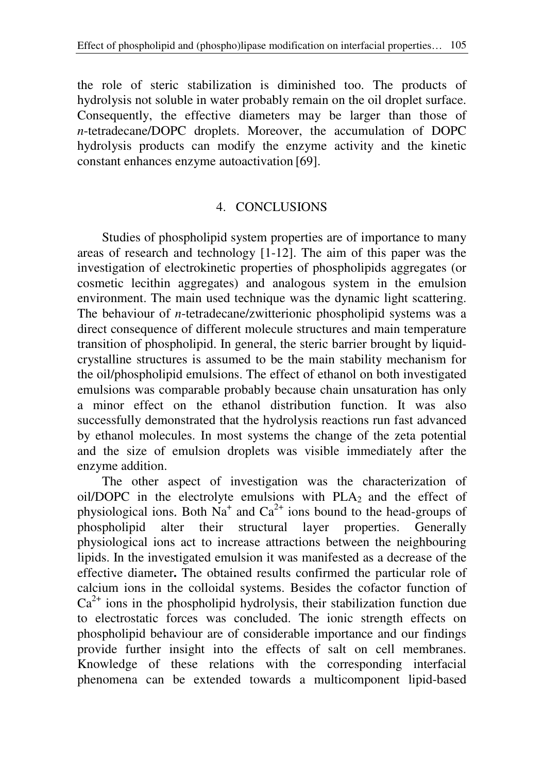the role of steric stabilization is diminished too. The products of hydrolysis not soluble in water probably remain on the oil droplet surface. Consequently, the effective diameters may be larger than those of *n*-tetradecane/DOPC droplets. Moreover, the accumulation of DOPC hydrolysis products can modify the enzyme activity and the kinetic constant enhances enzyme autoactivation [69].

## 4. CONCLUSIONS

Studies of phospholipid system properties are of importance to many areas of research and technology [1-12]. The aim of this paper was the investigation of electrokinetic properties of phospholipids aggregates (or cosmetic lecithin aggregates) and analogous system in the emulsion environment. The main used technique was the dynamic light scattering. The behaviour of *n*-tetradecane/zwitterionic phospholipid systems was a direct consequence of different molecule structures and main temperature transition of phospholipid. In general, the steric barrier brought by liquidcrystalline structures is assumed to be the main stability mechanism for the oil/phospholipid emulsions. The effect of ethanol on both investigated emulsions was comparable probably because chain unsaturation has only a minor effect on the ethanol distribution function. It was also successfully demonstrated that the hydrolysis reactions run fast advanced by ethanol molecules. In most systems the change of the zeta potential and the size of emulsion droplets was visible immediately after the enzyme addition.

The other aspect of investigation was the characterization of oil/DOPC in the electrolyte emulsions with  $PLA_2$  and the effect of physiological ions. Both  $Na^+$  and  $Ca^{2+}$  ions bound to the head-groups of phospholipid alter their structural layer properties. Generally physiological ions act to increase attractions between the neighbouring lipids. In the investigated emulsion it was manifested as a decrease of the effective diameter**.** The obtained results confirmed the particular role of calcium ions in the colloidal systems. Besides the cofactor function of  $Ca<sup>2+</sup>$  ions in the phospholipid hydrolysis, their stabilization function due to electrostatic forces was concluded. The ionic strength effects on phospholipid behaviour are of considerable importance and our findings provide further insight into the effects of salt on cell membranes. Knowledge of these relations with the corresponding interfacial phenomena can be extended towards a multicomponent lipid-based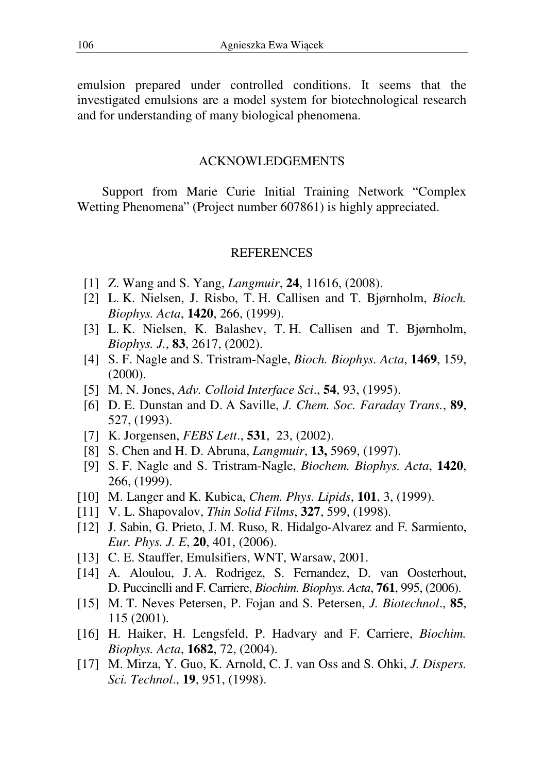emulsion prepared under controlled conditions. It seems that the investigated emulsions are a model system for biotechnological research and for understanding of many biological phenomena.

#### ACKNOWLEDGEMENTS

Support from Marie Curie Initial Training Network "Complex Wetting Phenomena" (Project number 607861) is highly appreciated.

#### REFERENCES

- [1] Z. Wang and S. Yang, *Langmuir*, **24**, 11616, (2008).
- [2] L. K. Nielsen, J. Risbo, T. H. Callisen and T. Bjørnholm, *Bioch. Biophys. Acta*, **1420**, 266, (1999).
- [3] L. K. Nielsen, K. Balashev, T. H. Callisen and T. Bjørnholm, *Biophys. J.*, **83**, 2617, (2002).
- [4] S. F. Nagle and S. Tristram-Nagle, *Bioch. Biophys. Acta*, **1469**, 159, (2000).
- [5] M. N. Jones, *Adv. Colloid Interface Sci*., **54**, 93, (1995).
- [6] D. E. Dunstan and D. A Saville, *J. Chem. Soc. Faraday Trans.*, **89**, 527, (1993).
- [7] K. Jorgensen, *FEBS Lett*., **531**, 23, (2002).
- [8] S. Chen and H. D. Abruna, *Langmuir*, **13,** 5969, (1997).
- [9] S. F. Nagle and S. Tristram-Nagle, *Biochem. Biophys. Acta*, **1420**, 266, (1999).
- [10] M. Langer and K. Kubica, *Chem. Phys. Lipids*, **101**, 3, (1999).
- [11] V. L. Shapovalov, *Thin Solid Films*, **327**, 599, (1998).
- [12] J. Sabin, G. Prieto, J. M. Ruso, R. Hidalgo-Alvarez and F. Sarmiento, *Eur. Phys. J. E*, **20**, 401, (2006).
- [13] C. E. Stauffer, Emulsifiers, WNT, Warsaw, 2001.
- [14] A. Aloulou, J. A. Rodrigez, S. Fernandez, D. van Oosterhout, D. Puccinelli and F. Carriere, *Biochim. Biophys. Acta*, **761**, 995, (2006).
- [15] M. T. Neves Petersen, P. Fojan and S. Petersen, *J. Biotechnol*., **85**, 115 (2001).
- [16] H. Haiker, H. Lengsfeld, P. Hadvary and F. Carriere, *Biochim. Biophys. Acta*, **1682**, 72, (2004).
- [17] M. Mirza, Y. Guo, K. Arnold, C. J. van Oss and S. Ohki, *J. Dispers. Sci. Technol*., **19**, 951, (1998).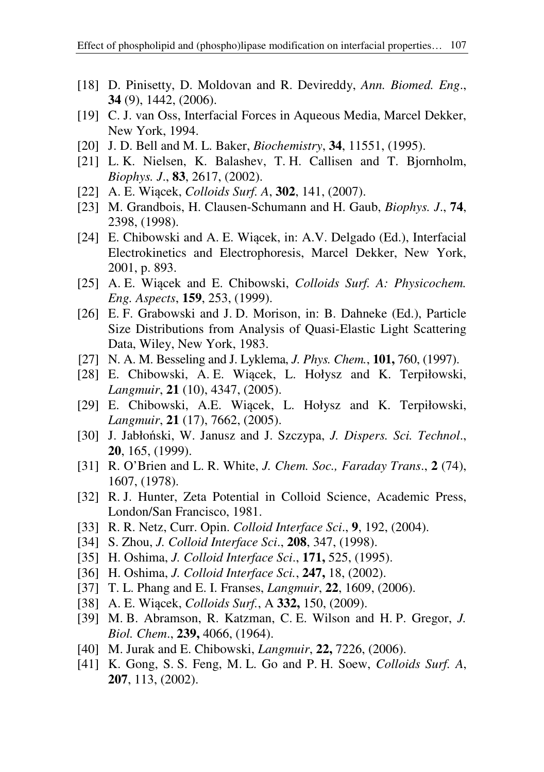- [18] D. Pinisetty, D. Moldovan and R. Devireddy, *Ann. Biomed. Eng*., **34** (9), 1442, (2006).
- [19] C. J. van Oss, Interfacial Forces in Aqueous Media, Marcel Dekker, New York, 1994.
- [20] J. D. Bell and M. L. Baker, *Biochemistry*, **34**, 11551, (1995).
- [21] L. K. Nielsen, K. Balashev, T. H. Callisen and T. Bjornholm, *Biophys. J*., **83**, 2617, (2002).
- [22] A. E. Wiącek, *Colloids Surf. A*, **302**, 141, (2007).
- [23] M. Grandbois, H. Clausen-Schumann and H. Gaub, *Biophys. J*., **74**, 2398, (1998).
- [24] E. Chibowski and A. E. Wiącek, in: A.V. Delgado (Ed.), Interfacial Electrokinetics and Electrophoresis, Marcel Dekker, New York, 2001, p. 893.
- [25] A. E. Wiącek and E. Chibowski, *Colloids Surf. A: Physicochem. Eng. Aspects*, **159**, 253, (1999).
- [26] E. F. Grabowski and J. D. Morison, in: B. Dahneke (Ed.), Particle Size Distributions from Analysis of Quasi-Elastic Light Scattering Data, Wiley, New York, 1983.
- [27] N. A. M. Besseling and J. Lyklema, *J. Phys. Chem.*, **101,** 760, (1997).
- [28] E. Chibowski, A. E. Wiącek, L. Hołysz and K. Terpiłowski, *Langmuir*, **21** (10), 4347, (2005).
- [29] E. Chibowski, A.E. Wiącek, L. Hołysz and K. Terpiłowski, *Langmuir*, **21** (17), 7662, (2005).
- [30] J. Jabłoński, W. Janusz and J. Szczypa, *J. Dispers. Sci. Technol*., **20**, 165, (1999).
- [31] R. O'Brien and L. R. White, *J. Chem. Soc., Faraday Trans*., **2** (74), 1607, (1978).
- [32] R. J. Hunter, Zeta Potential in Colloid Science, Academic Press, London/San Francisco, 1981.
- [33] R. R. Netz, Curr. Opin. *Colloid Interface Sci*., **9**, 192, (2004).
- [34] S. Zhou, *J. Colloid Interface Sci*., **208**, 347, (1998).
- [35] H. Oshima, *J. Colloid Interface Sci*., **171,** 525, (1995).
- [36] H. Oshima, *J. Colloid Interface Sci.*, **247,** 18, (2002).
- [37] T. L. Phang and E. I. Franses, *Langmuir*, **22**, 1609, (2006).
- [38] A. E. Wiącek, *Colloids Surf.*, A **332,** 150, (2009).
- [39] M. B. Abramson, R. Katzman, C. E. Wilson and H. P. Gregor, *J. Biol. Chem*., **239,** 4066, (1964).
- [40] M. Jurak and E. Chibowski, *Langmuir*, **22,** 7226, (2006).
- [41] K. Gong, S. S. Feng, M. L. Go and P. H. Soew, *Colloids Surf. A*, **207**, 113, (2002).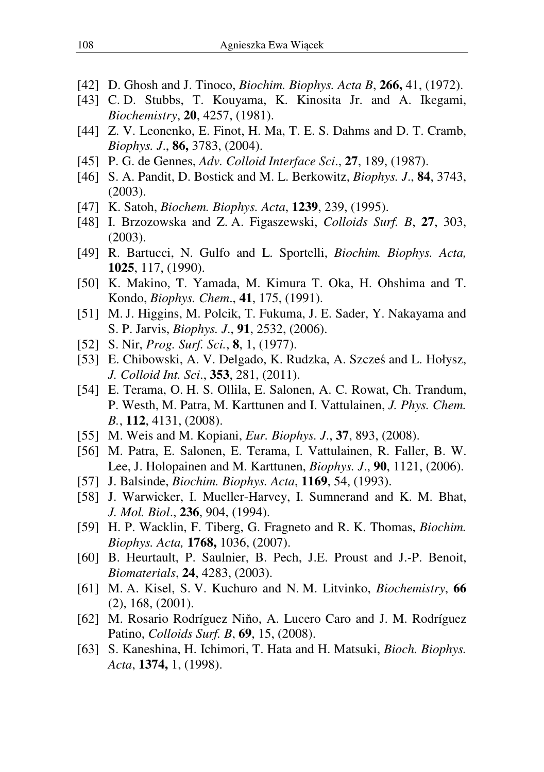- [42] D. Ghosh and J. Tinoco, *Biochim. Biophys. Acta B*, **266,** 41, (1972).
- [43] C. D. Stubbs, T. Kouyama, K. Kinosita Jr. and A. Ikegami, *Biochemistry*, **20**, 4257, (1981).
- [44] Z. V. Leonenko, E. Finot, H. Ma, T. E. S. Dahms and D. T. Cramb, *Biophys. J*., **86,** 3783, (2004).
- [45] P. G. de Gennes, *Adv. Colloid Interface Sci*., **27**, 189, (1987).
- [46] S. A. Pandit, D. Bostick and M. L. Berkowitz, *Biophys. J*., **84**, 3743, (2003).
- [47] K. Satoh, *Biochem. Biophys. Acta*, **1239**, 239, (1995).
- [48] I. Brzozowska and Z. A. Figaszewski, *Colloids Surf. B*, **27**, 303, (2003).
- [49] R. Bartucci, N. Gulfo and L. Sportelli, *Biochim. Biophys. Acta,*  **1025**, 117, (1990).
- [50] K. Makino, T. Yamada, M. Kimura T. Oka, H. Ohshima and T. Kondo, *Biophys. Chem*., **41**, 175, (1991).
- [51] M. J. Higgins, M. Polcik, T. Fukuma, J. E. Sader, Y. Nakayama and S. P. Jarvis, *Biophys. J*., **91**, 2532, (2006).
- [52] S. Nir, *Prog. Surf. Sci.*, **8**, 1, (1977).
- [53] E. Chibowski, A. V. Delgado, K. Rudzka, A. Szcześ and L. Hołysz, *J. Colloid Int. Sci*., **353**, 281, (2011).
- [54] E. Terama, O. H. S. Ollila, E. Salonen, A. C. Rowat, Ch. Trandum, P. Westh, M. Patra, M. Karttunen and I. Vattulainen, *J. Phys. Chem. B.*, **112**, 4131, (2008).
- [55] M. Weis and M. Kopiani, *Eur. Biophys. J*., **37**, 893, (2008).
- [56] M. Patra, E. Salonen, E. Terama, I. Vattulainen, R. Faller, B. W. Lee, J. Holopainen and M. Karttunen, *Biophys. J*., **90**, 1121, (2006).
- [57] J. Balsinde, *Biochim. Biophys. Acta*, **1169**, 54, (1993).
- [58] J. Warwicker, I. Mueller-Harvey, I. Sumnerand and K. M. Bhat, *J. Mol. Biol*., **236**, 904, (1994).
- [59] H. P. Wacklin, F. Tiberg, G. Fragneto and R. K. Thomas, *Biochim. Biophys. Acta,* **1768,** 1036, (2007).
- [60] B. Heurtault, P. Saulnier, B. Pech, J.E. Proust and J.-P. Benoit, *Biomaterials*, **24**, 4283, (2003).
- [61] M. A. Kisel, S. V. Kuchuro and N. M. Litvinko, *Biochemistry*, **66**  (2), 168, (2001).
- [62] M. Rosario Rodríguez Niňo, A. Lucero Caro and J. M. Rodríguez Patino, *Colloids Surf. B*, **69**, 15, (2008).
- [63] S. Kaneshina, H. Ichimori, T. Hata and H. Matsuki, *Bioch. Biophys. Acta*, **1374,** 1, (1998).